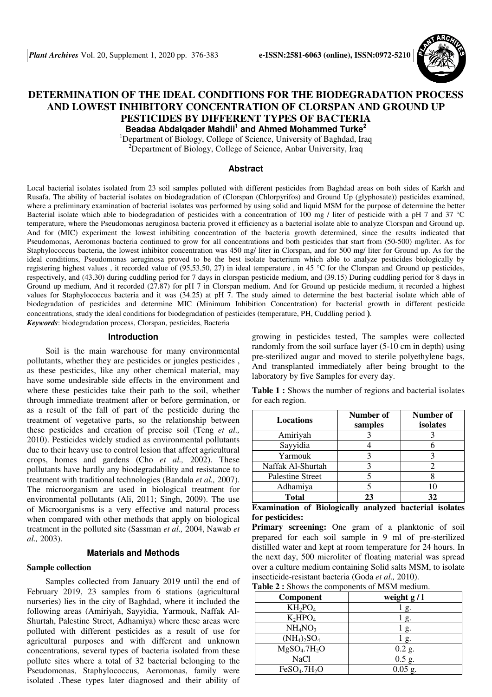

# **DETERMINATION OF THE IDEAL CONDITIONS FOR THE BIODEGRADATION PROCESS AND LOWEST INHIBITORY CONCENTRATION OF CLORSPAN AND GROUND UP PESTICIDES BY DIFFERENT TYPES OF BACTERIA Beadaa Abdalqader Mahdii<sup>1</sup> and Ahmed Mohammed Turke<sup>2</sup>**

<sup>1</sup>Department of Biology, College of Science, University of Baghdad, Iraq

<sup>2</sup>Department of Biology, College of Science, Anbar University, Iraq

### **Abstract**

Local bacterial isolates isolated from 23 soil samples polluted with different pesticides from Baghdad areas on both sides of Karkh and Rusafa, The ability of bacterial isolates on biodegradation of (Clorspan (Chlorpyrifos) and Ground Up (glyphosate)) pesticides examined, where a preliminary examination of bacterial isolates was performed by using solid and liquid MSM for the purpose of determine the better Bacterial isolate which able to biodegradation of pesticides with a concentration of 100 mg / liter of pesticide with a pH 7 and 37 °C temperature, where the Pseudomonas aeruginosa bacteria proved it efficiency as a bacterial isolate able to analyze Clorspan and Ground up. And for (MIC) experiment the lowest inhibiting concentration of the bacteria growth determined, since the results indicated that Pseudomonas, Aeromonas bacteria continued to grow for all concentrations and both pesticides that start from (50-500) mg/liter. As for Staphylococcus bacteria, the lowest inhibitor concentration was 450 mg/ liter in Clorspan, and for 500 mg/ liter for Ground up. As for the ideal conditions, Pseudomonas aeruginosa proved to be the best isolate bacterium which able to analyze pesticides biologically by registering highest values , it recorded value of (95,53,50, 27) in ideal temperature , in 45 °C for the Clorspan and Ground up pesticides, respectively, and (43.30) during cuddling period for 7 days in clorspan pesticide medium, and (39.15) During cuddling period for 8 days in Ground up medium, And it recorded (27.87) for pH 7 in Clorspan medium. And for Ground up pesticide medium, it recorded a highest values for Staphylococcus bacteria and it was (34.25) at pH 7. The study aimed to determine the best bacterial isolate which able of biodegradation of pesticides and determine MIC (Minimum Inhibition Concentration) for bacterial growth in different pesticide concentrations, study the ideal conditions for biodegradation of pesticides (temperature, PH, Cuddling period ). *Keywords*: biodegradation process, Clorspan, pesticides, Bacteria

#### **Introduction**

Soil is the main warehouse for many environmental pollutants, whether they are pesticides or jungles pesticides , as these pesticides, like any other chemical material, may have some undesirable side effects in the environment and where these pesticides take their path to the soil, whether through immediate treatment after or before germination, or as a result of the fall of part of the pesticide during the treatment of vegetative parts, so the relationship between these pesticides and creation of precise soil (Teng *et al.,* 2010). Pesticides widely studied as environmental pollutants due to their heavy use to control lesion that affect agricultural crops, homes and gardens (Cho *et al.,* 2002). These pollutants have hardly any biodegradability and resistance to treatment with traditional technologies (Bandala *et al.,* 2007). The microorganism are used in biological treatment for environmental pollutants (Ali, 2011; Singh, 2009). The use of Microorganisms is a very effective and natural process when compared with other methods that apply on biological treatment in the polluted site (Sassman *et al.,* 2004, Nawab *et al.,* 2003).

### **Materials and Methods**

#### **Sample collection**

Samples collected from January 2019 until the end of February 2019, 23 samples from 6 stations (agricultural nurseries) lies in the city of Baghdad, where it included the following areas (Amiriyah, Sayyidia, Yarmouk, Naffak Al-Shurtah, Palestine Street, Adhamiya) where these areas were polluted with different pesticides as a result of use for agricultural purposes and with different and unknown concentrations, several types of bacteria isolated from these pollute sites where a total of 32 bacterial belonging to the Pseudomonas, Staphylococcus, Aeromonas, family were isolated .These types later diagnosed and their ability of growing in pesticides tested, The samples were collected randomly from the soil surface layer (5-10 cm in depth) using pre-sterilized augar and moved to sterile polyethylene bags, And transplanted immediately after being brought to the laboratory by five Samples for every day.

|                  |  | <b>Table 1:</b> Shows the number of regions and bacterial isolates |  |  |
|------------------|--|--------------------------------------------------------------------|--|--|
| for each region. |  |                                                                    |  |  |

| <b>Locations</b>        | Number of<br>samples | Number of<br>isolates |
|-------------------------|----------------------|-----------------------|
| Amiriyah                |                      |                       |
| Sayyidia                |                      |                       |
| Yarmouk                 |                      |                       |
| Naffak Al-Shurtah       |                      |                       |
| <b>Palestine Street</b> |                      |                       |
| Adhamiya                |                      |                       |
| <b>Total</b>            | 23                   | 32                    |

### **Examination of Biologically analyzed bacterial isolates for pesticides:**

**Primary screening:** One gram of a planktonic of soil prepared for each soil sample in 9 ml of pre-sterilized distilled water and kept at room temperature for 24 hours. In the next day, 500 microliter of floating material was spread over a culture medium containing Solid salts MSM, to isolate insecticide-resistant bacteria (Goda *et al.,* 2010).

**Table 2 :** Shows the components of MSM medium.

| Component                            | weight $g/l$   |
|--------------------------------------|----------------|
| $KH_2PO_4$                           | g.             |
| $K_2HPO_4$                           | g.             |
| NH <sub>4</sub> NO <sub>3</sub>      | g.             |
| $(NH_4)_2SO_4$                       | $\mathbf{g}$ . |
| MgSO <sub>4</sub> .7H <sub>2</sub> O | $0.2$ g.       |
| <b>NaCl</b>                          | $0.5$ g.       |
| FeSO <sub>4</sub> .7H <sub>2</sub> O | $0.05$ g.      |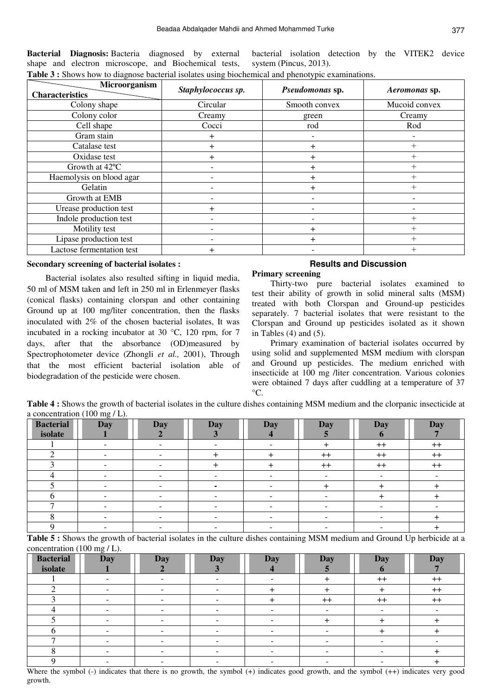**Bacterial Diagnosis:** Bacteria diagnosed by external shape and electron microscope, and Biochemical tests, bacterial isolation detection by the VITEK2 device system (Pincus, 2013). **Table 3 :** Shows how to diagnose bacterial isolates using biochemical and phenotypic examinations.

| Microorganism             | Staphylococcus sp. | Pseudomonas sp.      | Aeromonas sp. |
|---------------------------|--------------------|----------------------|---------------|
| <b>Characteristics</b>    |                    |                      |               |
| Colony shape              | Circular           | Smooth convex        | Mucoid convex |
| Colony color              | Creamy             | green                | Creamy        |
| Cell shape                | Cocci              | rod                  | Rod           |
| Gram stain                | ┿                  |                      |               |
| Catalase test             | ┿                  | $\div$               | $^{+}$        |
| Oxidase test              | $\ddot{}$          | $\ddot{}$            | $^+$          |
| Growth at 42°C            |                    | ┿                    | $^+$          |
| Haemolysis on blood agar  |                    | $\div$               | $^{+}$        |
| Gelatin                   |                    | $\textcolor{red}{+}$ | $^+$          |
| Growth at EMB             |                    |                      |               |
| Urease production test    | $\div$             |                      |               |
| Indole production test    |                    |                      | $\, +$        |
| Motility test             |                    | $\pm$                | $^+$          |
| Lipase production test    |                    | ┿                    | $^+$          |
| Lactose fermentation test | $\pm$              |                      | $^{+}$        |

#### **Secondary screening of bacterial isolates :**

Bacterial isolates also resulted sifting in liquid media, 50 ml of MSM taken and left in 250 ml in Erlenmeyer flasks (conical flasks) containing clorspan and other containing Ground up at 100 mg/liter concentration, then the flasks inoculated with 2% of the chosen bacterial isolates, It was incubated in a rocking incubator at 30 °C, 120 rpm, for 7 days, after that the absorbance (OD)measured by Spectrophotometer device (Zhongli *et al.,* 2001), Through that the most efficient bacterial isolation able of biodegradation of the pesticide were chosen.

### **Results and Discussion Primary screening**

Thirty-two pure bacterial isolates examined to test their ability of growth in solid mineral salts (MSM) treated with both Clorspan and Ground-up pesticides separately. 7 bacterial isolates that were resistant to the Clorspan and Ground up pesticides isolated as it shown in Tables  $(4)$  and  $(5)$ .

Primary examination of bacterial isolates occurred by using solid and supplemented MSM medium with clorspan and Ground up pesticides. The medium enriched with insecticide at 100 mg /liter concentration. Various colonies were obtained 7 days after cuddling at a temperature of 37  $^{\circ}C$ .

**Table 4 :** Shows the growth of bacterial isolates in the culture dishes containing MSM medium and the clorpanic insecticide at a concentration (100 mg / L).

| <b>Bacterial</b><br>isolate | <b>Day</b>               | <b>Day</b> | <b>Day</b> | <b>Day</b> | <b>Day</b> | <b>Day</b> | <b>Day</b> |
|-----------------------------|--------------------------|------------|------------|------------|------------|------------|------------|
|                             |                          |            |            |            |            |            |            |
|                             |                          |            |            |            |            | $^{++}$    | $^{++}$    |
|                             |                          |            |            |            | $++$       | $++$       | $++$       |
|                             |                          |            |            |            | $^{++}$    | $^{++}$    | $^{++}$    |
|                             |                          |            |            |            |            |            |            |
|                             |                          |            |            |            |            |            |            |
|                             | $\overline{\phantom{0}}$ |            |            |            |            |            |            |
|                             |                          |            |            |            |            |            |            |
|                             |                          |            |            |            |            |            |            |
|                             |                          |            |            |            |            |            |            |

**Table 5 :** Shows the growth of bacterial isolates in the culture dishes containing MSM medium and Ground Up herbicide at a concentration (100 mg / L).

| <b>Bacterial</b> | <b>Day</b> | <b>Day</b> | <b>Day</b> | <b>Day</b> | <b>Day</b> | <b>Day</b> | <b>Day</b> |
|------------------|------------|------------|------------|------------|------------|------------|------------|
| isolate          |            |            |            |            |            |            |            |
|                  |            |            |            |            |            | $^{++}$    | $^{++}$    |
|                  |            |            |            |            |            |            | $++$       |
|                  |            |            |            |            | $++$       | $++$       | $++$       |
|                  |            |            |            |            |            |            |            |
|                  |            |            |            |            |            |            |            |
|                  |            |            |            |            |            |            |            |
| $\overline{ }$   |            |            |            |            |            |            |            |
|                  |            |            |            |            |            |            |            |
|                  |            |            |            |            |            |            |            |

Where the symbol (-) indicates that there is no growth, the symbol (+) indicates good growth, and the symbol (++) indicates very good growth.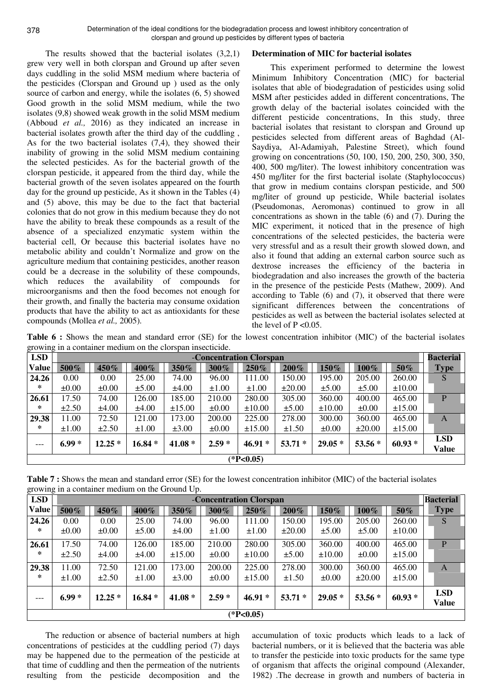378

The results showed that the bacterial isolates (3,2,1) grew very well in both clorspan and Ground up after seven days cuddling in the solid MSM medium where bacteria of the pesticides (Clorspan and Ground up ) used as the only source of carbon and energy, while the isolates (6, 5) showed Good growth in the solid MSM medium, while the two isolates (9,8) showed weak growth in the solid MSM medium (Abboud *et al.,* 2016) as they indicated an increase in bacterial isolates growth after the third day of the cuddling , As for the two bacterial isolates (7,4), they showed their inability of growing in the solid MSM medium containing the selected pesticides. As for the bacterial growth of the clorspan pesticide, it appeared from the third day, while the bacterial growth of the seven isolates appeared on the fourth day for the ground up pesticide, As it shown in the Tables (4) and (5) above, this may be due to the fact that bacterial colonies that do not grow in this medium because they do not have the ability to break these compounds as a result of the absence of a specialized enzymatic system within the bacterial cell, Or because this bacterial isolates have no metabolic ability and couldn't Normalize and grow on the agriculture medium that containing pesticides, another reason could be a decrease in the solubility of these compounds, which reduces the availability of compounds for microorganisms and then the food becomes not enough for their growth, and finally the bacteria may consume oxidation products that have the ability to act as antioxidants for these compounds (Mollea *et al.,* 2005).

## **Determination of MIC for bacterial isolates**

This experiment performed to determine the lowest Minimum Inhibitory Concentration (MIC) for bacterial isolates that able of biodegradation of pesticides using solid MSM after pesticides added in different concentrations, The growth delay of the bacterial isolates coincided with the different pesticide concentrations, In this study, three bacterial isolates that resistant to clorspan and Ground up pesticides selected from different areas of Baghdad (Al-Saydiya, Al-Adamiyah, Palestine Street), which found growing on concentrations (50, 100, 150, 200, 250, 300, 350, 400, 500 mg/liter). The lowest inhibitory concentration was 450 mg/liter for the first bacterial isolate (Staphylococcus) that grow in medium contains clorspan pesticide, and 500 mg/liter of ground up pesticide, While bacterial isolates (Pseudomonas, Aeromonas) continued to grow in all concentrations as shown in the table (6) and (7). During the MIC experiment, it noticed that in the presence of high concentrations of the selected pesticides, the bacteria were very stressful and as a result their growth slowed down, and also it found that adding an external carbon source such as dextrose increases the efficiency of the bacteria in biodegradation and also increases the growth of the bacteria in the presence of the pesticide Pests (Mathew, 2009). And according to Table (6) and (7), it observed that there were significant differences between the concentrations of pesticides as well as between the bacterial isolates selected at the level of  $P \le 0.05$ .

**Table 6 :** Shows the mean and standard error (SE) for the lowest concentration inhibitor (MIC) of the bacterial isolates growing in a container medium on the clorspan insecticide.

| <b>LSD</b> | -Concentration Clorspan |            |            |             |            |             |             |             | <b>Bacterial</b> |             |                            |
|------------|-------------------------|------------|------------|-------------|------------|-------------|-------------|-------------|------------------|-------------|----------------------------|
| Value      | 500%                    | 450%       | 400%       | 350%        | 300%       | $250\%$     | $200\%$     | 150%        | 100%             | 50%         | <b>Type</b>                |
| 24.26      | 0.00                    | $0.00\,$   | 25.00      | 74.00       | 96.00      | 111.00      | 150.00      | 195.00      | 205.00           | 260.00      | S                          |
| ∗          | $\pm 0.00$              | $\pm 0.00$ | $\pm$ 5.00 | ±4.00       | $\pm 1.00$ | ±1.00       | $\pm 20.00$ | $\pm$ 5.00  | $\pm$ 5.00       | $\pm 10.00$ |                            |
| 26.61      | 17.50                   | 74.00      | 126.00     | 185.00      | 210.00     | 280.00      | 305.00      | 360.00      | 400.00           | 465.00      | P                          |
| ∗          | $\pm 2.50$              | ±4.00      | $\pm 4.00$ | $\pm 15.00$ | $\pm 0.00$ | $\pm 10.00$ | $\pm 5.00$  | $\pm 10.00$ | $\pm 0.00$       | $\pm 15.00$ |                            |
| 29.38      | 11.00                   | 72.50      | 121.00     | 173.00      | 200.00     | 225.00      | 278.00      | 300.00      | 360.00           | 465.00      | Α                          |
| ∗          | $\pm 1.00$              | $\pm 2.50$ | $\pm 1.00$ | $\pm 3.00$  | $\pm 0.00$ | $\pm 15.00$ | $\pm 1.50$  | $\pm 0.00$  | $\pm 20.00$      | $\pm 15.00$ |                            |
| $---$      | $6.99*$                 | $12.25*$   | $16.84*$   | $41.08*$    | $2.59*$    | $46.91*$    | $53.71*$    | $29.05*$    | $53.56*$         | $60.93*$    | <b>LSD</b><br><b>Value</b> |
|            |                         |            |            |             |            | $(*P<0.05)$ |             |             |                  |             |                            |

**Table 7 :** Shows the mean and standard error (SE) for the lowest concentration inhibitor (MIC) of the bacterial isolates growing in a container medium on the Ground Up.

| <b>LSD</b>   |            | -Concentration Clorspan |            |             |            |             |             |             |             | <b>Bacterial</b> |                            |
|--------------|------------|-------------------------|------------|-------------|------------|-------------|-------------|-------------|-------------|------------------|----------------------------|
| <b>Value</b> | 500%       | 450%                    | 400%       | 350%        | 300%       | 250%        | 200%        | 150%        | 100%        | 50%              | <b>Type</b>                |
| 24.26        | 0.00       | 0.00                    | 25.00      | 74.00       | 96.00      | 111.00      | 150.00      | 195.00      | 205.00      | 260.00           | S                          |
| ∗            | $\pm 0.00$ | $\pm 0.00$              | $\pm 5.00$ | ±4.00       | ±1.00      | ±1.00       | $\pm 20.00$ | $\pm$ 5.00  | $\pm$ 5.00  | $\pm 10.00$      |                            |
| 26.61        | 17.50      | 74.00                   | 126.00     | 185.00      | 210.00     | 280.00      | 305.00      | 360.00      | 400.00      | 465.00           | P                          |
| ∗            | $\pm 2.50$ | ±4.00                   | ±4.00      | $\pm 15.00$ | $\pm 0.00$ | $\pm 10.00$ | $\pm$ 5.00  | $\pm 10.00$ | $\pm 0.00$  | $\pm 15.00$      |                            |
| 29.38        | 11.00      | 72.50                   | 121.00     | 173.00      | 200.00     | 225.00      | 278.00      | 300.00      | 360.00      | 465.00           | A                          |
| ∗            | $\pm 1.00$ | $\pm 2.50$              | $\pm 1.00$ | $\pm 3.00$  | $\pm 0.00$ | $\pm 15.00$ | $\pm 1.50$  | $\pm 0.00$  | $\pm 20.00$ | $\pm 15.00$      |                            |
| $---$        | $6.99*$    | $12.25*$                | $16.84*$   | $41.08*$    | $2.59*$    | $46.91*$    | $53.71*$    | $29.05*$    | $53.56*$    | $60.93*$         | <b>LSD</b><br><b>Value</b> |
|              |            |                         |            |             |            | $(*P<0.05)$ |             |             |             |                  |                            |

The reduction or absence of bacterial numbers at high concentrations of pesticides at the cuddling period (7) days may be happened due to the permeation of the pesticide at that time of cuddling and then the permeation of the nutrients resulting from the pesticide decomposition and the

accumulation of toxic products which leads to a lack of bacterial numbers, or it is believed that the bacteria was able to transfer the pesticide into toxic products for the same type of organism that affects the original compound (Alexander, 1982) .The decrease in growth and numbers of bacteria in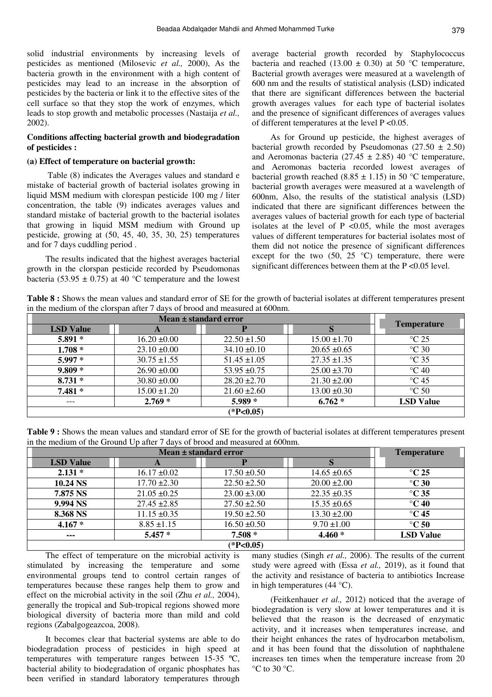solid industrial environments by increasing levels of pesticides as mentioned (Milosevic *et al.,* 2000), As the bacteria growth in the environment with a high content of pesticides may lead to an increase in the absorption of pesticides by the bacteria or link it to the effective sites of the cell surface so that they stop the work of enzymes, which leads to stop growth and metabolic processes (Nastaija *et al.,* 2002).

### **Conditions affecting bacterial growth and biodegradation of pesticides :**

#### **(a) Effect of temperature on bacterial growth:**

 Table (8) indicates the Averages values and standard e mistake of bacterial growth of bacterial isolates growing in liquid MSM medium with clorespan pesticide 100 mg / liter concentration, the table (9) indicates averages values and standard mistake of bacterial growth to the bacterial isolates that growing in liquid MSM medium with Ground up pesticide, growing at (50, 45, 40, 35, 30, 25) temperatures and for 7 days cuddling period .

The results indicated that the highest averages bacterial growth in the clorspan pesticide recorded by Pseudomonas bacteria (53.95  $\pm$  0.75) at 40 °C temperature and the lowest average bacterial growth recorded by Staphylococcus bacteria and reached (13.00  $\pm$  0.30) at 50 °C temperature, Bacterial growth averages were measured at a wavelength of 600 nm and the results of statistical analysis (LSD) indicated that there are significant differences between the bacterial growth averages values for each type of bacterial isolates and the presence of significant differences of averages values of different temperatures at the level P <0.05.

As for Ground up pesticide, the highest averages of bacterial growth recorded by Pseudomonas (27.50  $\pm$  2.50) and Aeromonas bacteria (27.45  $\pm$  2.85) 40 °C temperature, and Aeromonas bacteria recorded lowest averages of bacterial growth reached (8.85  $\pm$  1.15) in 50 °C temperature, bacterial growth averages were measured at a wavelength of 600nm, Also, the results of the statistical analysis (LSD) indicated that there are significant differences between the averages values of bacterial growth for each type of bacterial isolates at the level of  $P \le 0.05$ , while the most averages values of different temperatures for bacterial isolates most of them did not notice the presence of significant differences except for the two  $(50, 25 \degree C)$  temperature, there were significant differences between them at the P <0.05 level.

**Table 8 :** Shows the mean values and standard error of SE for the growth of bacterial isolates at different temperatures present in the medium of the clorspan after 7 days of brood and measured at 600nm.

|                  | Mean ± standard error |                  |                  |                         |  |  |  |  |
|------------------|-----------------------|------------------|------------------|-------------------------|--|--|--|--|
| <b>LSD</b> Value | A                     |                  | S                | <b>Temperature</b>      |  |  |  |  |
| $5.891*$         | $16.20 \pm 0.00$      | $22.50 \pm 1.50$ | $15.00 \pm 1.70$ | $\mathrm{^{\circ}C}$ 25 |  |  |  |  |
| $1.708*$         | $23.10 \pm 0.00$      | $34.10 \pm 0.10$ | $20.65 \pm 0.65$ | $\degree$ C 30          |  |  |  |  |
| $5.997*$         | $30.75 \pm 1.55$      | $51.45 \pm 1.05$ | $27.35 \pm 1.35$ | $\degree$ C 35          |  |  |  |  |
| $9.809*$         | $26.90 \pm 0.00$      | $53.95 \pm 0.75$ | $25.00 \pm 3.70$ | $\degree$ C 40          |  |  |  |  |
| $8.731*$         | $30.80 \pm 0.00$      | $28.20 \pm 2.70$ | $21.30 \pm 2.00$ | $\mathrm{^{\circ}C}$ 45 |  |  |  |  |
| $7.481*$         | $15.00 \pm 1.20$      | $21.60 \pm 2.60$ | $13.00 \pm 0.30$ | $\degree$ C 50          |  |  |  |  |
| $---$            | $2.769*$              | $5.989*$         | $6.762*$         | <b>LSD</b> Value        |  |  |  |  |
|                  |                       | $(*P<0.05)$      |                  |                         |  |  |  |  |

**Table 9 :** Shows the mean values and standard error of SE for the growth of bacterial isolates at different temperatures present in the medium of the Ground Up after 7 days of brood and measured at 600nm.

|                  | <b>Temperature</b> |                  |                  |                    |  |  |
|------------------|--------------------|------------------|------------------|--------------------|--|--|
| <b>LSD Value</b> | A                  |                  |                  |                    |  |  |
| $2.131*$         | $16.17 \pm 0.02$   | $17.50 \pm 0.50$ | $14.65 \pm 0.65$ | $\rm ^{\circ}C$ 25 |  |  |
| 10.24 NS         | $17.70 \pm 2.30$   | $22.50 \pm 2.50$ | $20.00 \pm 2.00$ | $\degree$ C 30     |  |  |
| 7.875 NS         | $21.05 \pm 0.25$   | $23.00 \pm 3.00$ | $22.35 \pm 0.35$ | $\degree$ C 35     |  |  |
| 9.994 NS         | $27.45 \pm 2.85$   | $27.50 \pm 2.50$ | $15.35 \pm 0.65$ | $\degree$ C 40     |  |  |
| 8.368 NS         | $11.15 \pm 0.35$   | $19.50 \pm 2.50$ | $13.30 \pm 2.00$ | $\degree$ C 45     |  |  |
| $4.167*$         | $8.85 \pm 1.15$    | $16.50 \pm 0.50$ | $9.70 \pm 1.00$  | $\degree$ C 50     |  |  |
| $\cdots$         | $5.457*$           | $7.508 *$        | $4.460*$         | <b>LSD Value</b>   |  |  |
|                  | $(*P<0.05)$        |                  |                  |                    |  |  |

The effect of temperature on the microbial activity is stimulated by increasing the temperature and some environmental groups tend to control certain ranges of temperatures because these ranges help them to grow and effect on the microbial activity in the soil (Zhu *et al.,* 2004), generally the tropical and Sub-tropical regions showed more biological diversity of bacteria more than mild and cold regions (Zabalgogeazcoa, 2008).

It becomes clear that bacterial systems are able to do biodegradation process of pesticides in high speed at temperatures with temperature ranges between 15-35 ºC, bacterial ability to biodegradation of organic phosphates has been verified in standard laboratory temperatures through many studies (Singh *et al.,* 2006). The results of the current study were agreed with (Essa *et al.,* 2019), as it found that the activity and resistance of bacteria to antibiotics Increase in high temperatures (44 °C).

(Feitkenhauer *et al.,* 2012) noticed that the average of biodegradation is very slow at lower temperatures and it is believed that the reason is the decreased of enzymatic activity, and it increases when temperatures increase, and their height enhances the rates of hydrocarbon metabolism, and it has been found that the dissolution of naphthalene increases ten times when the temperature increase from 20  $\rm{^{\circ}C}$  to 30  $\rm{^{\circ}C}$ .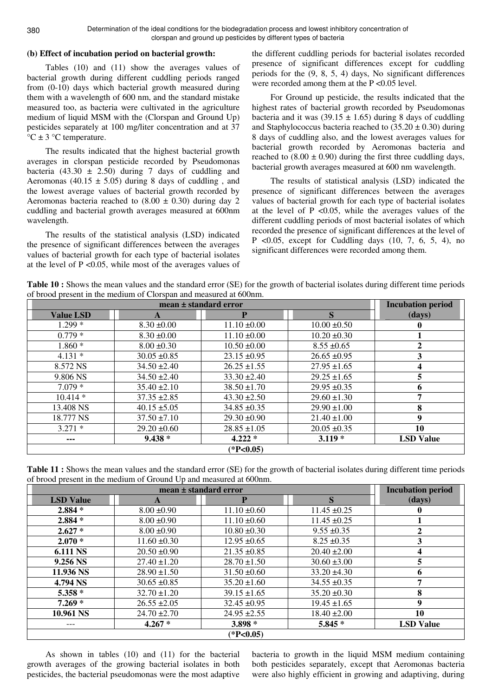Determination of the ideal conditions for the biodegradation process and lowest inhibitory concentration of clorspan and ground up pesticides by different types of bacteria

### **(b) Effect of incubation period on bacterial growth:**

Tables (10) and (11) show the averages values of bacterial growth during different cuddling periods ranged from (0-10) days which bacterial growth measured during them with a wavelength of 600 nm, and the standard mistake measured too, as bacteria were cultivated in the agriculture medium of liquid MSM with the (Clorspan and Ground Up) pesticides separately at 100 mg/liter concentration and at 37  $\mathrm{C} \pm 3 \mathrm{C}$  temperature.

The results indicated that the highest bacterial growth averages in clorspan pesticide recorded by Pseudomonas bacteria (43.30  $\pm$  2.50) during 7 days of cuddling and Aeromonas (40.15  $\pm$  5.05) during 8 days of cuddling, and the lowest average values of bacterial growth recorded by Aeromonas bacteria reached to  $(8.00 \pm 0.30)$  during day 2 cuddling and bacterial growth averages measured at 600nm wavelength.

The results of the statistical analysis (LSD) indicated the presence of significant differences between the averages values of bacterial growth for each type of bacterial isolates at the level of P <0.05, while most of the averages values of the different cuddling periods for bacterial isolates recorded presence of significant differences except for cuddling periods for the (9, 8, 5, 4) days, No significant differences were recorded among them at the P < 0.05 level.

For Ground up pesticide, the results indicated that the highest rates of bacterial growth recorded by Pseudomonas bacteria and it was  $(39.15 \pm 1.65)$  during 8 days of cuddling and Staphylococcus bacteria reached to  $(35.20 \pm 0.30)$  during 8 days of cuddling also, and the lowest averages values for bacterial growth recorded by Aeromonas bacteria and reached to  $(8.00 \pm 0.90)$  during the first three cuddling days, bacterial growth averages measured at 600 nm wavelength.

The results of statistical analysis (LSD) indicated the presence of significant differences between the averages values of bacterial growth for each type of bacterial isolates at the level of  $P \le 0.05$ , while the averages values of the different cuddling periods of most bacterial isolates of which recorded the presence of significant differences at the level of P <0.05, except for Cuddling days  $(10, 7, 6, 5, 4)$ , no significant differences were recorded among them.

**Table 10 :** Shows the mean values and the standard error (SE) for the growth of bacterial isolates during different time periods of brood present in the medium of Clorspan and measured at 600nm.

|                  |                  | mean ± standard error |                  | <b>Incubation period</b> |
|------------------|------------------|-----------------------|------------------|--------------------------|
| <b>Value LSD</b> | A                |                       | S                | (days)                   |
| $1.299*$         | $8.30 \pm 0.00$  | $11.10 \pm 0.00$      | $10.00 \pm 0.50$ |                          |
| $0.779*$         | $8.30 \pm 0.00$  | $11.10 \pm 0.00$      | $10.20 \pm 0.30$ |                          |
| $1.860*$         | $8.00 \pm 0.30$  | $10.50 \pm 0.00$      | $8.55 \pm 0.65$  | 2                        |
| $4.131*$         | $30.05 \pm 0.85$ | $23.15 \pm 0.95$      | $26.65 \pm 0.95$ | 3                        |
| 8.572 NS         | $34.50 \pm 2.40$ | $26.25 \pm 1.55$      | $27.95 \pm 1.65$ | 4                        |
| 9.806 NS         | $34.50 \pm 2.40$ | $33.30 \pm 2.40$      | $29.25 \pm 1.65$ | 5                        |
| $7.079*$         | $35.40 \pm 2.10$ | $38.50 \pm 1.70$      | $29.95 \pm 0.35$ | 6                        |
| $10.414*$        | $37.35 \pm 2.85$ | $43.30 \pm 2.50$      | $29.60 \pm 1.30$ | 7                        |
| 13.408 NS        | $40.15 \pm 5.05$ | $34.85 \pm 0.35$      | $29.90 \pm 1.00$ | 8                        |
| 18.777 NS        | $37.50 \pm 7.10$ | $29.30 \pm 0.90$      | $21.40 \pm 1.00$ | 9                        |
| $3.271*$         | $29.20 \pm 0.60$ | $28.85 \pm 1.05$      | $20.05 \pm 0.35$ | 10                       |
| ---              | $9.438*$         | $4.222*$              | $3.119*$         | <b>LSD Value</b>         |
|                  |                  | $(*P<0.05)$           |                  |                          |

Table 11 : Shows the mean values and the standard error (SE) for the growth of bacterial isolates during different time periods of brood present in the medium of Ground Up and measured at 600nm.

|                  | $mean \pm standard error$ |                  |                  |                  |  |  |  |  |  |
|------------------|---------------------------|------------------|------------------|------------------|--|--|--|--|--|
| <b>LSD Value</b> | A                         | Р                | S                | (days)           |  |  |  |  |  |
| $2.884*$         | $8.00 \pm 0.90$           | $11.10 \pm 0.60$ | $11.45 \pm 0.25$ |                  |  |  |  |  |  |
| 2.884 *          | $8.00 \pm 0.90$           | $11.10 \pm 0.60$ | $11.45 \pm 0.25$ |                  |  |  |  |  |  |
| $2.627*$         | $8.00 \pm 0.90$           | $10.80 \pm 0.30$ | $9.55 \pm 0.35$  | 2                |  |  |  |  |  |
| $2.070*$         | $11.60 \pm 0.30$          | $12.95 \pm 0.65$ | $8.25 \pm 0.35$  | 3                |  |  |  |  |  |
| <b>6.111 NS</b>  | $20.50 \pm 0.90$          | $21.35 \pm 0.85$ | $20.40 \pm 2.00$ | 4                |  |  |  |  |  |
| 9.256 NS         | $27.40 \pm 1.20$          | $28.70 \pm 1.50$ | $30.60 \pm 3.00$ | 5                |  |  |  |  |  |
| 11.936 NS        | $28.90 \pm 1.50$          | $31.50 \pm 0.60$ | $33.20 \pm 4.30$ | 6                |  |  |  |  |  |
| 4.794 NS         | $30.65 \pm 0.85$          | $35.20 \pm 1.60$ | $34.55 \pm 0.35$ |                  |  |  |  |  |  |
| 5.358 *          | $32.70 \pm 1.20$          | $39.15 \pm 1.65$ | $35.20 \pm 0.30$ | 8                |  |  |  |  |  |
| $7.269*$         | $26.55 \pm 2.05$          | $32.45 \pm 0.95$ | $19.45 \pm 1.65$ | 9                |  |  |  |  |  |
| 10.961 NS        | $24.70 \pm 2.70$          | $24.95 \pm 2.55$ | $18.40 \pm 2.00$ | 10               |  |  |  |  |  |
| ---              | $4.267*$                  | 3.898 *          | 5.845 *          | <b>LSD Value</b> |  |  |  |  |  |
|                  |                           | $(*P<0.05)$      |                  |                  |  |  |  |  |  |

As shown in tables (10) and (11) for the bacterial growth averages of the growing bacterial isolates in both pesticides, the bacterial pseudomonas were the most adaptive

bacteria to growth in the liquid MSM medium containing both pesticides separately, except that Aeromonas bacteria were also highly efficient in growing and adaptiving, during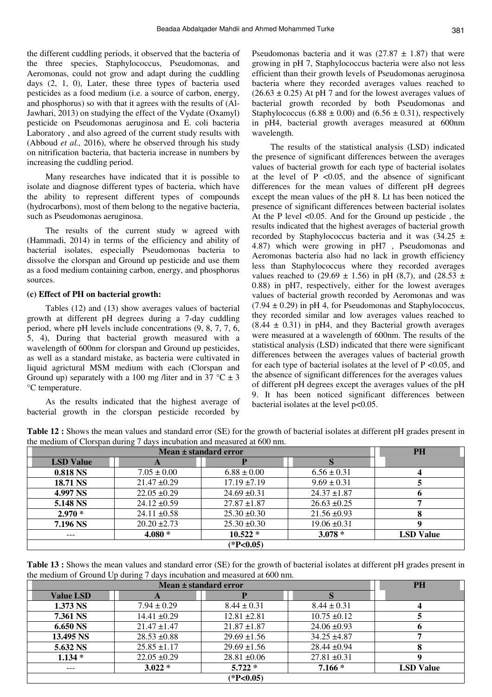the different cuddling periods, it observed that the bacteria of the three species, Staphylococcus, Pseudomonas, and Aeromonas, could not grow and adapt during the cuddling days (2, 1, 0), Later, these three types of bacteria used pesticides as a food medium (i.e. a source of carbon, energy, and phosphorus) so with that it agrees with the results of (Al-Jawhari, 2013) on studying the effect of the Vydate (Oxamyl) pesticide on Pseudomonas aeruginosa and E. coli bacteria Laboratory , and also agreed of the current study results with (Abboud *et al.,* 2016), where he observed through his study on nitrification bacteria, that bacteria increase in numbers by increasing the cuddling period.

Many researches have indicated that it is possible to isolate and diagnose different types of bacteria, which have the ability to represent different types of compounds (hydrocarbons), most of them belong to the negative bacteria, such as Pseudomonas aeruginosa.

The results of the current study w agreed with (Hammadi, 2014) in terms of the efficiency and ability of bacterial isolates, especially Pseudomonas bacteria to dissolve the clorspan and Ground up pesticide and use them as a food medium containing carbon, energy, and phosphorus sources.

### **(c) Effect of PH on bacterial growth:**

Tables (12) and (13) show averages values of bacterial growth at different pH degrees during a 7-day cuddling period, where pH levels include concentrations (9, 8, 7, 7, 6, 5, 4), During that bacterial growth measured with a wavelength of 600nm for clorspan and Ground up pesticides, as well as a standard mistake, as bacteria were cultivated in liquid agrictural MSM medium with each (Clorspan and Ground up) separately with a 100 mg /liter and in 37  $^{\circ}$ C  $\pm$  3 °C temperature.

As the results indicated that the highest average of bacterial growth in the clorspan pesticide recorded by

Pseudomonas bacteria and it was  $(27.87 \pm 1.87)$  that were growing in pH 7, Staphylococcus bacteria were also not less efficient than their growth levels of Pseudomonas aeruginosa bacteria where they recorded averages values reached to  $(26.63 \pm 0.25)$  At pH 7 and for the lowest averages values of bacterial growth recorded by both Pseudomonas and Staphylococcus (6.88  $\pm$  0.00) and (6.56  $\pm$  0.31), respectively in pH4, bacterial growth averages measured at 600nm wavelength.

The results of the statistical analysis (LSD) indicated the presence of significant differences between the averages values of bacterial growth for each type of bacterial isolates at the level of  $P \le 0.05$ , and the absence of significant differences for the mean values of different pH degrees except the mean values of the pH 8. Lt has been noticed the presence of significant differences between bacterial isolates At the P level <0.05. And for the Ground up pesticide, the results indicated that the highest averages of bacterial growth recorded by Staphylococcus bacteria and it was  $(34.25 \pm$ 4.87) which were growing in pH7 , Pseudomonas and Aeromonas bacteria also had no lack in growth efficiency less than Staphylococcus where they recorded averages values reached to (29.69  $\pm$  1.56) in pH (8,7), and (28.53  $\pm$ 0.88) in pH7, respectively, either for the lowest averages values of bacterial growth recorded by Aeromonas and was  $(7.94 \pm 0.29)$  in pH 4, for Pseudomonas and Staphylococcus, they recorded similar and low averages values reached to  $(8.44 \pm 0.31)$  in pH4, and they Bacterial growth averages were measured at a wavelength of 600nm. The results of the statistical analysis (LSD) indicated that there were significant differences between the averages values of bacterial growth for each type of bacterial isolates at the level of  $P \le 0.05$ , and the absence of significant differences for the averages values of different pH degrees except the averages values of the pH 9. It has been noticed significant differences between bacterial isolates at the level p<0.05.

**Table 12 :** Shows the mean values and standard error (SE) for the growth of bacterial isolates at different pH grades present in the medium of Clorspan during 7 days incubation and measured at 600 nm.

|                  | <b>PH</b>        |                  |                  |                  |  |  |
|------------------|------------------|------------------|------------------|------------------|--|--|
| <b>LSD</b> Value | A                |                  |                  |                  |  |  |
| 0.818 NS         | $7.05 \pm 0.00$  | $6.88 \pm 0.00$  | $6.56 \pm 0.31$  |                  |  |  |
| 18.71 NS         | $21.47 \pm 0.29$ | $17.19 \pm 7.19$ | $9.69 \pm 0.31$  |                  |  |  |
| 4.997 NS         | $22.05 \pm 0.29$ | $24.69 \pm 0.31$ | $24.37 \pm 1.87$ |                  |  |  |
| 5.148 NS         | $24.12 \pm 0.59$ | $27.87 \pm 1.87$ | $26.63 \pm 0.25$ |                  |  |  |
| $2.970*$         | $24.11 \pm 0.58$ | $25.30 \pm 0.30$ | $21.56 \pm 0.93$ |                  |  |  |
| 7.196 NS         | $20.20 \pm 2.73$ | $25.30 \pm 0.30$ | $19.06 \pm 0.31$ |                  |  |  |
| $---$            | $4.080*$         | $10.522*$        | $3.078*$         | <b>LSD</b> Value |  |  |
| $(*P<0.05)$      |                  |                  |                  |                  |  |  |

**Table 13 :** Shows the mean values and standard error (SE) for the growth of bacterial isolates at different pH grades present in the medium of Ground Up during 7 days incubation and measured at 600 nm.

|                  | <b>PH</b>        |                  |                  |                  |  |  |
|------------------|------------------|------------------|------------------|------------------|--|--|
| <b>Value LSD</b> | A                |                  |                  |                  |  |  |
| 1.373 NS         | $7.94 \pm 0.29$  | $8.44 \pm 0.31$  | $8.44 \pm 0.31$  |                  |  |  |
| 7.361 NS         | $14.41 \pm 0.29$ | $12.81 \pm 2.81$ | $10.75 \pm 0.12$ |                  |  |  |
| 6.650 NS         | $21.47 \pm 1.47$ | $21.87 \pm 1.87$ | $24.06 \pm 0.93$ |                  |  |  |
| 13.495 NS        | $28.53 \pm 0.88$ | $29.69 \pm 1.56$ | $34.25 \pm 4.87$ |                  |  |  |
| 5.632 NS         | $25.85 \pm 1.17$ | $29.69 \pm 1.56$ | $28.44 \pm 0.94$ |                  |  |  |
| $1.134*$         | $22.05 \pm 0.29$ | $28.81 \pm 0.06$ | $27.81 \pm 0.31$ |                  |  |  |
| $---$            | $3.022*$         | $5.722*$         | $7.166*$         | <b>LSD Value</b> |  |  |
| $(*P<0.05)$      |                  |                  |                  |                  |  |  |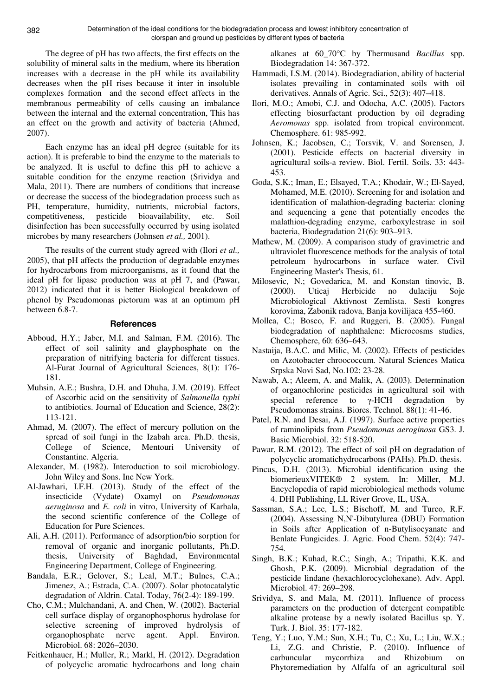The degree of pH has two affects, the first effects on the solubility of mineral salts in the medium, where its liberation increases with a decrease in the pH while its availability decreases when the pH rises because it inter in insoluble complexes formation and the second effect affects in the membranous permeability of cells causing an imbalance between the internal and the external concentration, This has an effect on the growth and activity of bacteria (Ahmed, 2007).

Each enzyme has an ideal pH degree (suitable for its action). It is preferable to bind the enzyme to the materials to be analyzed. It is useful to define this pH to achieve a suitable condition for the enzyme reaction (Srividya and Mala, 2011). There are numbers of conditions that increase or decrease the success of the biodegradation process such as PH, temperature, humidity, nutrients, microbial factors, competitiveness, pesticide bioavailability, etc. Soil disinfection has been successfully occurred by using isolated microbes by many researchers (Johnsen *et al.,* 2001).

The results of the current study agreed with (Ilori *et al.,*  2005), that pH affects the production of degradable enzymes for hydrocarbons from microorganisms, as it found that the ideal pH for lipase production was at pH 7, and (Pawar, 2012) indicated that it is better Biological breakdown of phenol by Pseudomonas pictorum was at an optimum pH between 6.8-7.

### **References**

- Abboud, H.Y.; Jaber, M.I. and Salman, F.M. (2016). The effect of soil salinity and glayphosphate on the preparation of nitrifying bacteria for different tissues. Al-Furat Journal of Agricultural Sciences, 8(1): 176- 181.
- Muhsin, A.E.; Bushra, D.H. and Dhuha, J.M. (2019). Effect of Ascorbic acid on the sensitivity of *Salmonella typhi* to antibiotics. Journal of Education and Science, 28(2): 113-121.
- Ahmad, M. (2007). The effect of mercury pollution on the spread of soil fungi in the Izabah area. Ph.D. thesis, College of Science, Mentouri University of Constantine. Algeria.
- Alexander, M. (1982). Interoduction to soil microbiology. John Wiley and Sons. Inc New York.
- Al-Jawhari, I.F.H. (2013). Study of the effect of the insecticide (Vydate) Oxamyl on *Pseudomonas aeruginosa* and *E. coli* in vitro, University of Karbala, the second scientific conference of the College of Education for Pure Sciences.
- Ali, A.H. (2011). Performance of adsorption/bio sorption for removal of organic and inorganic pollutants, Ph.D. thesis, University of Baghdad, Environmental Engineering Department, College of Engineering.
- Bandala, E.R.; Gelover, S.; Leal, M.T.; Bulnes, C.A.; Jimenez, A.; Estrada, C.A. (2007). Solar photocatalytic degradation of Aldrin. Catal. Today, 76(2-4): 189-199.
- Cho, C.M.; Mulchandani, A. and Chen, W. (2002). Bacterial cell surface display of organophosphorus hydrolase for selective screening of improved hydrolysis of organophosphate nerve agent. Appl. Environ. Microbiol. 68: 2026–2030.
- Feitkenhauer, H.; Muller, R.; Markl, H. (2012). Degradation of polycyclic aromatic hydrocarbons and long chain

alkanes at 60\_70°C by Thermusand *Bacillus* spp. Biodegradation 14: 367-372.

- Hammadi, I.S.M. (2014). Biodegradiation, ability of bacterial isolates prevailing in contaminated soils with oil derivatives. Annals of Agric. Sci., 52(3): 407–418.
- Ilori, M.O.; Amobi, C.J. and Odocha, A.C. (2005). Factors effecting biosurfactant production by oil degrading *Aeromonas* spp. isolated from tropical environment. Chemosphere. 61: 985-992.
- Johnsen, K.; Jacobsen, C.; Torsvik, V. and Sorensen, J. (2001). Pesticide effects on bacterial diversity in agricultural soils-a review. Biol. Fertil. Soils. 33: 443- 453.
- Goda, S.K.; Iman, E.; Elsayed, T.A.; Khodair, W.; El-Sayed, Mohamed, M.E. (2010). Screening for and isolation and identification of malathion-degrading bacteria: cloning and sequencing a gene that potentially encodes the malathion-degrading enzyme, carboxylestrase in soil bacteria, Biodegradation 21(6): 903–913.
- Mathew, M. (2009). A comparison study of gravimetric and ultraviolet fluorescence methods for the analysis of total petroleum hydrocarbons in surface water. Civil Engineering Master's Thesis, 61.
- Milosevic, N.; Govedarica, M. and Konstan tinovic, B. (2000). Uticaj Herbicide no dulaciju Soje Microbiological Aktivnost Zemlista. Sesti kongres korovima, Zabonik radova, Banja kovilijaca 455-460.
- Mollea, C.; Bosco, F. and Ruggeri, B. (2005). Fungal biodegradation of naphthalene: Microcosms studies, Chemosphere, 60: 636–643.
- Nastaija, B.A.C. and Milic, M. (2002). Effects of pesticides on Azotobacter chroococcum. Natural Sciences Matica Srpska Novi Sad, No.102: 23-28.
- Nawab, A.; Aleem, A. and Malik, A. (2003). Determination of organochlorine pesticides in agricultural soil with special reference to γ-HCH degradation by Pseudomonas strains. Biores. Technol. 88(1): 41-46.
- Patel, R.N. and Desai, A.J. (1997). Surface active properties of raminolipids from *Pseudomonas aeroginosa* GS3. J. Basic Microbiol. 32: 518-520.
- Pawar, R.M. (2012). The effect of soil pH on degradation of polycyclic aromatichydrocarbons (PAHs). Ph.D. thesis.
- Pincus, D.H. (2013). Microbial identification using the biomerieuxVITEK® 2 system. In: Miller, M.J. Encyclopedia of rapid microbiological methods volume 4. DHI Publishing, LL River Grove, IL, USA.
- Sassman, S.A.; Lee, L.S.; Bischoff, M. and Turco, R.F. (2004). Assessing N,N'-Dibutylurea (DBU) Formation in Soils after Application of n-Butylisocyanate and Benlate Fungicides. J. Agric. Food Chem. 52(4): 747- 754.
- Singh, B.K.; Kuhad, R.C.; Singh, A.; Tripathi, K.K. and Ghosh, P.K. (2009). Microbial degradation of the pesticide lindane (hexachlorocyclohexane). Adv. Appl. Microbiol. 47: 269–298.
- Srividya, S. and Mala, M. (2011). Influence of process parameters on the production of detergent compatible alkaline protease by a newly isolated Bacillus sp. Y. Turk. J. Biol. 35: 177-182.
- Teng, Y.; Luo, Y.M.; Sun, X.H.; Tu, C.; Xu, L.; Liu, W.X.; Li, Z.G. and Christie, P. (2010). Influence of carbuncular mycorrhiza and Rhizobium on Phytoremediation by Alfalfa of an agricultural soil